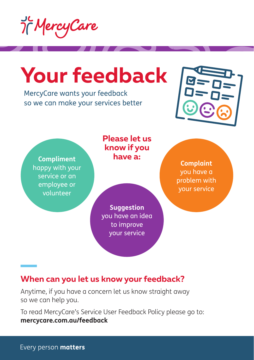

## **Your feedback**

MercyCare wants your feedback so we can make your services better



**Compliment** happy with your service or an employee or volunteer

**Please let us know if you have a:**

**Suggestion** you have an idea to improve your service

**Complaint** you have a problem with your service

## **When can you let us know your feedback?**

Anytime, if you have a concern let us know straight away so we can help you.

To read MercyCare's Service User Feedback Policy please go to: **mercycare.com.au/feedback**